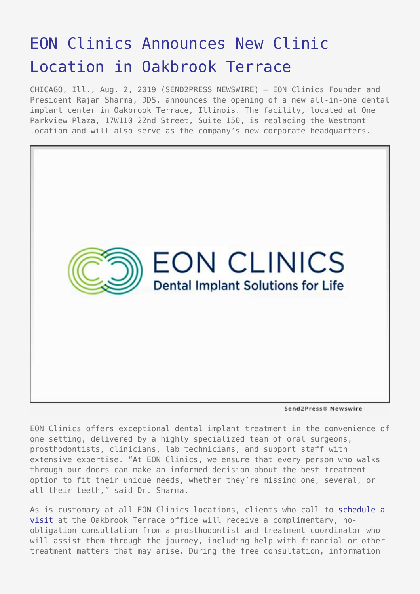## [EON Clinics Announces New Clinic](https://www.send2press.com/wire/eon-clinics-announces-new-clinic-location-in-oakbrook-terrace/) [Location in Oakbrook Terrace](https://www.send2press.com/wire/eon-clinics-announces-new-clinic-location-in-oakbrook-terrace/)

CHICAGO, Ill., Aug. 2, 2019 (SEND2PRESS NEWSWIRE) — EON Clinics Founder and President Rajan Sharma, DDS, announces the opening of a new all-in-one dental implant center in Oakbrook Terrace, Illinois. The facility, located at One Parkview Plaza, 17W110 22nd Street, Suite 150, is replacing the Westmont location and will also serve as the company's new corporate headquarters.



Send2Press® Newswire

EON Clinics offers exceptional dental implant treatment in the convenience of one setting, delivered by a highly specialized team of oral surgeons, prosthodontists, clinicians, lab technicians, and support staff with extensive expertise. "At EON Clinics, we ensure that every person who walks through our doors can make an informed decision about the best treatment option to fit their unique needs, whether they're missing one, several, or all their teeth," said Dr. Sharma.

As is customary at all EON Clinics locations, clients who call to [schedule a](https://www.eonclinics.com/scheduler?hsLang=en-us) [visit](https://www.eonclinics.com/scheduler?hsLang=en-us) at the Oakbrook Terrace office will receive a complimentary, noobligation consultation from a prosthodontist and treatment coordinator who will assist them through the journey, including help with financial or other treatment matters that may arise. During the free consultation, information